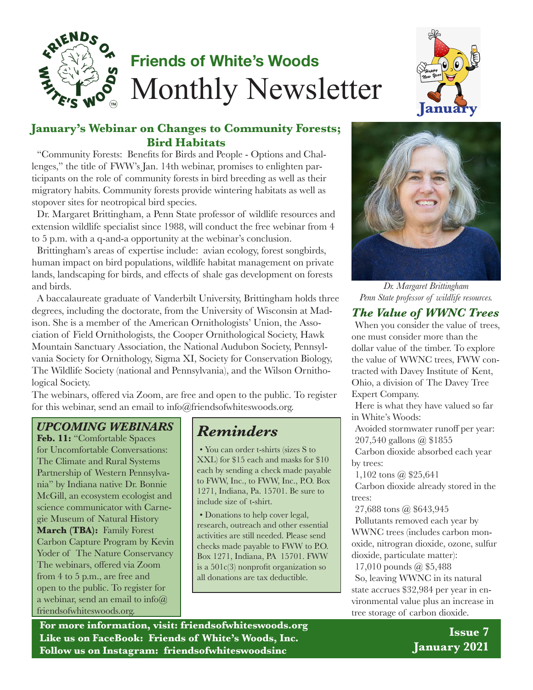

# **Friends of White's Woods** Monthly Newsletter



#### **January's Webinar on Changes to Community Forests; Bird Habitats**

"Community Forests: Benefits for Birds and People - Options and Challenges," the title of FWW's Jan. 14th webinar, promises to enlighten participants on the role of community forests in bird breeding as well as their migratory habits. Community forests provide wintering habitats as well as stopover sites for neotropical bird species.

Dr. Margaret Brittingham, a Penn State professor of wildlife resources and extension wildlife specialist since 1988, will conduct the free webinar from 4 to 5 p.m. with a q-and-a opportunity at the webinar's conclusion.

Brittingham's areas of expertise include: avian ecology, forest songbirds, human impact on bird populations, wildlife habitat management on private lands, landscaping for birds, and effects of shale gas development on forests and birds.

A baccalaureate graduate of Vanderbilt University, Brittingham holds three degrees, including the doctorate, from the University of Wisconsin at Madison. She is a member of the American Ornithologists' Union, the Association of Field Ornithologists, the Cooper Ornithological Society, Hawk Mountain Sanctuary Association, the National Audubon Society, Pennsylvania Society for Ornithology, Sigma XI, Society for Conservation Biology, The Wildlife Society (national and Pennsylvania), and the Wilson Ornithological Society.

The webinars, offered via Zoom, are free and open to the public. To register for this webinar, send an email to info@friendsofwhiteswoods.org.

## *UPCOMING WEBINARS Reminders*

**Feb. 11:** "Comfortable Spaces for Uncomfortable Conversations: The Climate and Rural Systems Partnership of Western Pennsylvania" by Indiana native Dr. Bonnie McGill, an ecosystem ecologist and science communicator with Carnegie Museum of Natural History **March (TBA):** Family Forest Carbon Capture Program by Kevin Yoder of The Nature Conservancy The webinars, offered via Zoom from 4 to 5 p.m., are free and open to the public. To register for a webinar, send an email to  $info@$ friendsofwhiteswoods.org.

• You can order t-shirts (sizes S to XXL) for \$15 each and masks for \$10 each by sending a check made payable to FWW, Inc., to FWW, Inc., P.O. Box 1271, Indiana, Pa. 15701. Be sure to include size of t-shirt.

• Donations to help cover legal, research, outreach and other essential activities are still needed. Please send checks made payable to FWW to P.O. Box 1271, Indiana, PA 15701. FWW is a 501c(3) nonprofit organization so all donations are tax deductible.



*Dr. Margaret Brittingham Penn State professor of wildlife resources.*

#### *The Value of WWNC Trees*

When you consider the value of trees, one must consider more than the dollar value of the timber. To explore the value of WWNC trees, FWW contracted with Davey Institute of Kent, Ohio, a division of The Davey Tree Expert Company.

Here is what they have valued so far in White's Woods:

Avoided stormwater runoff per year: 207,540 gallons @ \$1855

Carbon dioxide absorbed each year by trees:

1,102 tons @ \$25,641

Carbon dioxide already stored in the trees:

27,688 tons @ \$643,945

Pollutants removed each year by WWNC trees (includes carbon monoxide, nitrogran dioxide, ozone, sulfur dioxide, particulate matter):

17,010 pounds @ \$5,488 So, leaving WWNC in its natural state accrues \$32,984 per year in environmental value plus an increase in tree storage of carbon dioxide.

**For more information, visit: friendsofwhiteswoods.org Like us on FaceBook: Friends of White's Woods, Inc. Follow us on Instagram: friendsofwhiteswoodsinc**

**Issue 7 January 2021**